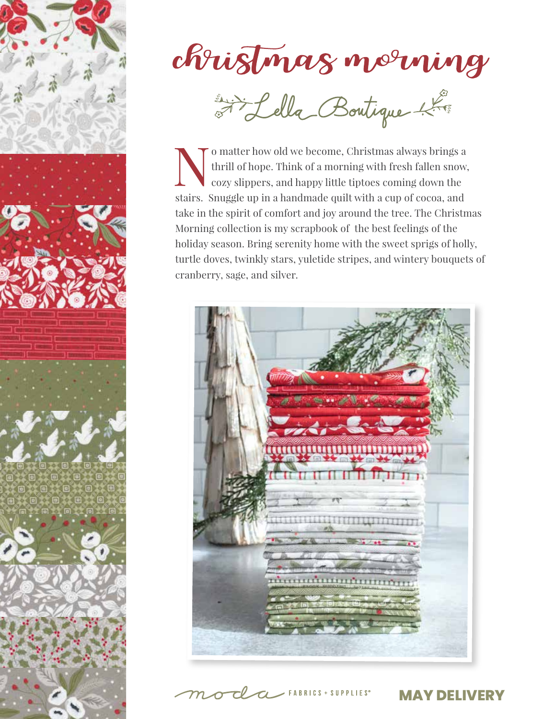

Mistmas morning

Omatter how old we become, Christmas always brings a thrill of hope. Think of a morning with fresh fallen snow, cozy slippers, and happy little tiptoes coming down the thrill of hope. Think of a morning with fresh fallen snow, cozy slippers, and happy little tiptoes coming down the stairs. Snuggle up in a handmade quilt with a cup of cocoa, and take in the spirit of comfort and joy around the tree. The Christmas Morning collection is my scrapbook of the best feelings of the holiday season. Bring serenity home with the sweet sprigs of holly, turtle doves, twinkly stars, yuletide stripes, and wintery bouquets of cranberry, sage, and silver.



 $T$   $\sim$  FABRICS + SUPPLIES°

**MAY DELIVERY**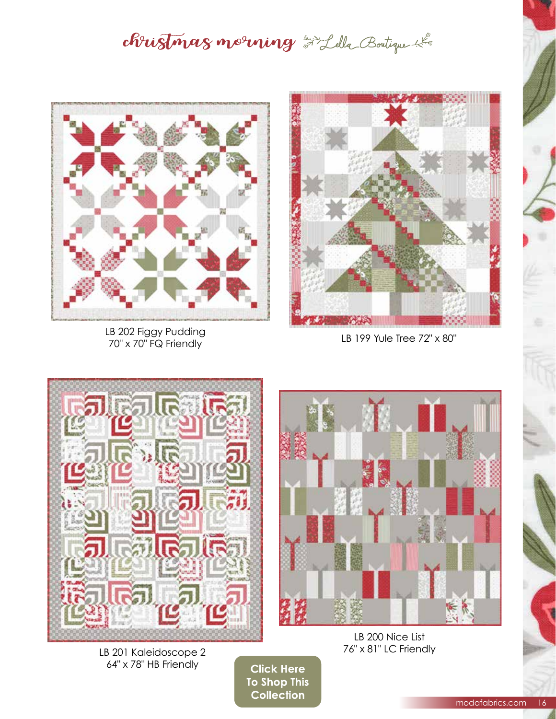christmas morning Filella Boutique



LB 202 Figgy Pudding 70" x 70" FQ Friendly



LB 199 Yule Tree 72" x 80"



LB 201 Kaleidoscope 2 64" x 78" HB Friendly



## LB 200 Nice List 76" x 81" LC Friendly

**Click Here** To Shop This **Collection**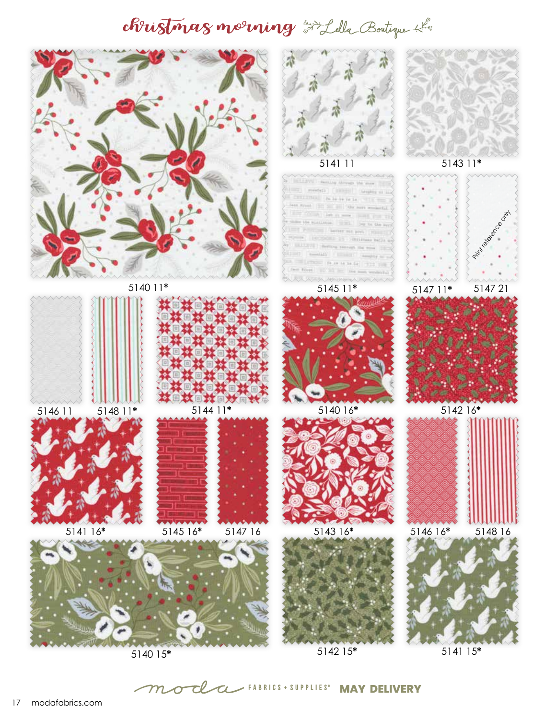## christmas morning Filella Boutique



 ${\cal T}$ 

 $\sigma$ 

Cl

 $\alpha$ 

**MAY DELIVERY**